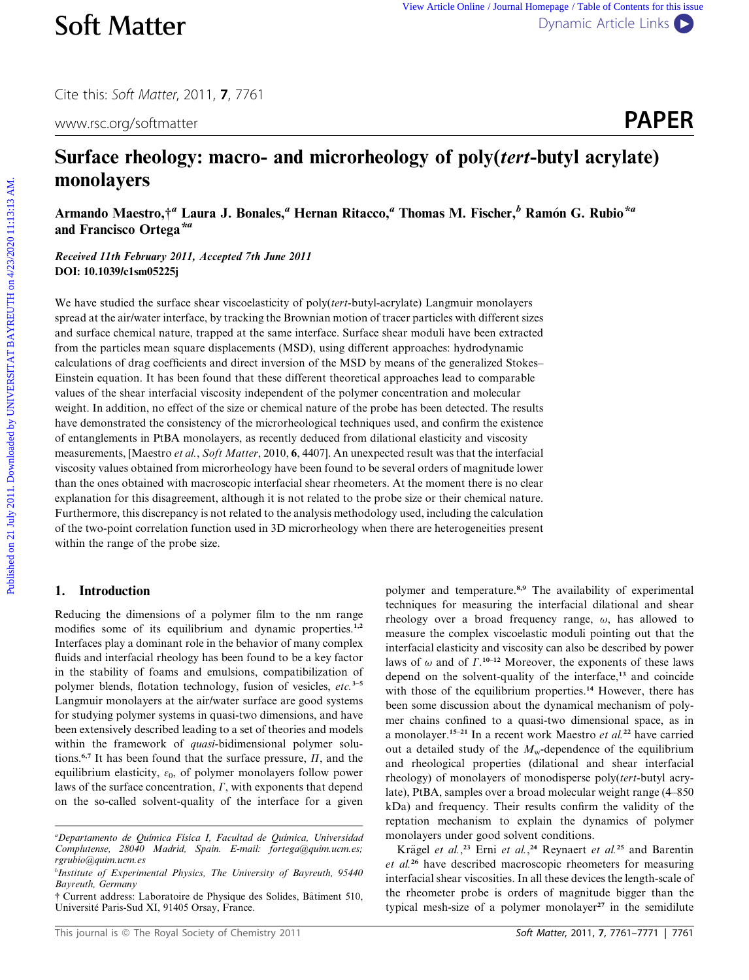Cite this: Soft Matter, 2011, <sup>7</sup>, 7761

www.rsc.org/softmatter **PAPER** 



# Surface rheology: macro- and microrheology of poly(tert-butyl acrylate) monolayers

Armando Maestro, $\dot{\tau}^a$  Laura J. Bonales,<sup>a</sup> Hernan Ritacco,<sup>a</sup> Thomas M. Fischer,<sup>b</sup> Ramón G. Rubio<sup>\*a</sup> and Francisco Ortega\*a

Received 11th February 2011, Accepted 7th June 2011 DOI: 10.1039/c1sm05225j

We have studied the surface shear viscoelasticity of poly(tert-butyl-acrylate) Langmuir monolayers spread at the air/water interface, by tracking the Brownian motion of tracer particles with different sizes and surface chemical nature, trapped at the same interface. Surface shear moduli have been extracted from the particles mean square displacements (MSD), using different approaches: hydrodynamic calculations of drag coefficients and direct inversion of the MSD by means of the generalized Stokes– Einstein equation. It has been found that these different theoretical approaches lead to comparable values of the shear interfacial viscosity independent of the polymer concentration and molecular weight. In addition, no effect of the size or chemical nature of the probe has been detected. The results have demonstrated the consistency of the microrheological techniques used, and confirm the existence of entanglements in PtBA monolayers, as recently deduced from dilational elasticity and viscosity measurements, [Maestro *et al., Soft Matter,* 2010, 6, 4407]. An unexpected result was that the interfacial viscosity values obtained from microrheology have been found to be several orders of magnitude lower than the ones obtained with macroscopic interfacial shear rheometers. At the moment there is no clear explanation for this disagreement, although it is not related to the probe size or their chemical nature. Furthermore, this discrepancy is not related to the analysis methodology used, including the calculation of the two-point correlation function used in 3D microrheology when there are heterogeneities present within the range of the probe size. **Soft Matter** view Ansie tonine / since the population (2) Thermane Extraction (2) Social United States (2011. **PAPER**<br>
Surface rheology: macro- and microrheology of poly $(\text{terr-lcutyl} \text{ acrylatte})$ <br>
monology and Francisco Oriena<sup></sup>

## 1. Introduction

Reducing the dimensions of a polymer film to the nm range modifies some of its equilibrium and dynamic properties.<sup>1,2</sup> Interfaces play a dominant role in the behavior of many complex fluids and interfacial rheology has been found to be a key factor in the stability of foams and emulsions, compatibilization of polymer blends, flotation technology, fusion of vesicles, etc.<sup>3-5</sup> Langmuir monolayers at the air/water surface are good systems for studying polymer systems in quasi-two dimensions, and have been extensively described leading to a set of theories and models within the framework of *quasi*-bidimensional polymer solutions.<sup>6,7</sup> It has been found that the surface pressure,  $\Pi$ , and the equilibrium elasticity,  $\varepsilon_0$ , of polymer monolayers follow power laws of the surface concentration,  $\Gamma$ , with exponents that depend on the so-called solvent-quality of the interface for a given

polymer and temperature.8,9 The availability of experimental techniques for measuring the interfacial dilational and shear rheology over a broad frequency range,  $\omega$ , has allowed to measure the complex viscoelastic moduli pointing out that the interfacial elasticity and viscosity can also be described by power laws of  $\omega$  and of  $\Gamma$ <sup>10–12</sup> Moreover, the exponents of these laws<br>depend on the solvent quality of the interface <sup>13</sup> and coincide depend on the solvent-quality of the interface,<sup>13</sup> and coincide with those of the equilibrium properties.<sup>14</sup> However, there has been some discussion about the dynamical mechanism of polymer chains confined to a quasi-two dimensional space, as in a monolayer.<sup>15-21</sup> In a recent work Maestro et al.<sup>22</sup> have carried out a detailed study of the  $M_w$ -dependence of the equilibrium and rheological properties (dilational and shear interfacial rheology) of monolayers of monodisperse poly(tert-butyl acrylate), PtBA, samples over a broad molecular weight range (4–850 kDa) and frequency. Their results confirm the validity of the reptation mechanism to explain the dynamics of polymer monolayers under good solvent conditions.

Krägel et al.,<sup>23</sup> Erni et al.,<sup>24</sup> Reynaert et al.<sup>25</sup> and Barentin et al.<sup>26</sup> have described macroscopic rheometers for measuring interfacial shear viscosities. In all these devices the length-scale of the rheometer probe is orders of magnitude bigger than the typical mesh-size of a polymer monolayer $27$  in the semidilute

<sup>&</sup>lt;sup>a</sup>Departamento de Química Física I, Facultad de Química, Universidad Complutense, 28040 Madrid, Spain. E-mail: fortega@quim.ucm.es; rgrubio@quim.ucm.es

b Institute of Experimental Physics, The University of Bayreuth, 95440 Bayreuth, Germany

<sup>†</sup> Current address: Laboratoire de Physique des Solides, B^atiment 510, Universite Paris-Sud XI, 91405 Orsay, France.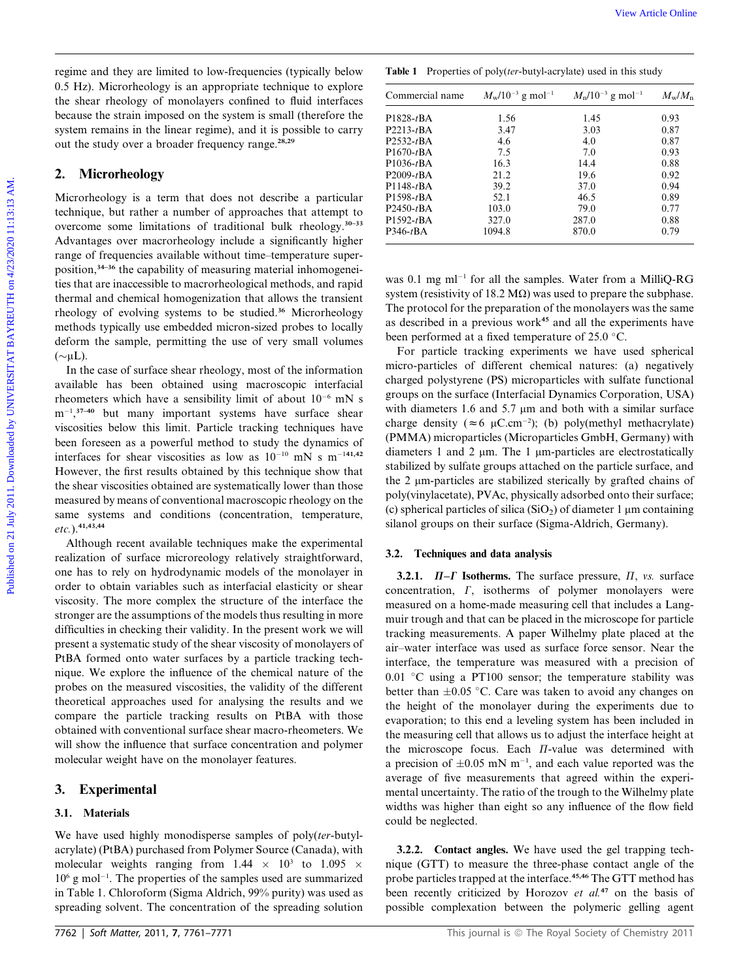regime and they are limited to low-frequencies (typically below 0.5 Hz). Microrheology is an appropriate technique to explore the shear rheology of monolayers confined to fluid interfaces because the strain imposed on the system is small (therefore the system remains in the linear regime), and it is possible to carry out the study over a broader frequency range.<sup>28,29</sup>

## 2. Microrheology

Microrheology is a term that does not describe a particular technique, but rather a number of approaches that attempt to overcome some limitations of traditional bulk rheology.30–33 Advantages over macrorheology include a significantly higher range of frequencies available without time–temperature superposition,34–36 the capability of measuring material inhomogeneities that are inaccessible to macrorheological methods, and rapid thermal and chemical homogenization that allows the transient rheology of evolving systems to be studied.<sup>36</sup> Microrheology methods typically use embedded micron-sized probes to locally deform the sample, permitting the use of very small volumes  $(\sim \mu L)$ .

In the case of surface shear rheology, most of the information available has been obtained using macroscopic interfacial rheometers which have a sensibility limit of about  $10^{-6}$  mN s  $m^{-1}$ ,<sup>37–40</sup> but many important systems have surface shear viscosities below this limit. Particle tracking techniques have been foreseen as a powerful method to study the dynamics of interfaces for shear viscosities as low as  $10^{-10}$  mN s m<sup>-141,42</sup> However, the first results obtained by this technique show that the shear viscosities obtained are systematically lower than those measured by means of conventional macroscopic rheology on the same systems and conditions (concentration, temperature,  $etc.$ ).  $41,43,44$ 

Although recent available techniques make the experimental realization of surface microreology relatively straightforward, one has to rely on hydrodynamic models of the monolayer in order to obtain variables such as interfacial elasticity or shear viscosity. The more complex the structure of the interface the stronger are the assumptions of the models thus resulting in more difficulties in checking their validity. In the present work we will present a systematic study of the shear viscosity of monolayers of PtBA formed onto water surfaces by a particle tracking technique. We explore the influence of the chemical nature of the probes on the measured viscosities, the validity of the different theoretical approaches used for analysing the results and we compare the particle tracking results on PtBA with those obtained with conventional surface shear macro-rheometers. We will show the influence that surface concentration and polymer molecular weight have on the monolayer features.

## 3. Experimental

## 3.1. Materials

We have used highly monodisperse samples of poly(ter-butylacrylate) (PtBA) purchased from Polymer Source (Canada), with molecular weights ranging from 1.44  $\times$  10<sup>3</sup> to 1.095  $\times$  $10<sup>6</sup>$  g mol<sup>-1</sup>. The properties of the samples used are summarized in Table 1. Chloroform (Sigma Aldrich, 99% purity) was used as spreading solvent. The concentration of the spreading solution

| Commercial name | $M_{\rm w}/10^{-3}$ g mol <sup>-1</sup> | $M_{\rm n}$ /10 <sup>-3</sup> g mol <sup>-1</sup> | $M_{\rm w}/M_{\rm n}$ |
|-----------------|-----------------------------------------|---------------------------------------------------|-----------------------|
| $P1828-tBA$     | 1.56                                    | 1.45                                              | 0.93                  |
| $P2213-tBA$     | 3.47                                    | 3.03                                              | 0.87                  |
| $P2532-tBA$     | 4.6                                     | 4.0                                               | 0.87                  |
| $P1670-tBA$     | 7.5                                     | 7.0                                               | 0.93                  |
| $P1036-tBA$     | 16.3                                    | 14.4                                              | 0.88                  |
| $P2009-tBA$     | 21.2                                    | 19.6                                              | 0.92                  |
| $P1148-tBA$     | 39.2                                    | 37.0                                              | 0.94                  |
| $P1598-tBA$     | 52.1                                    | 46.5                                              | 0.89                  |
| $P2450-tBA$     | 103.0                                   | 79.0                                              | 0.77                  |
| $P1592-tBA$     | 327.0                                   | 287.0                                             | 0.88                  |
| $P346-tBA$      | 1094.8                                  | 870.0                                             | 0.79                  |
|                 |                                         |                                                   |                       |

was 0.1 mg m $l^{-1}$  for all the samples. Water from a MilliQ-RG system (resistivity of 18.2 M $\Omega$ ) was used to prepare the subphase. The protocol for the preparation of the monolayers was the same as described in a previous work<sup>45</sup> and all the experiments have been performed at a fixed temperature of  $25.0 \degree C$ .

For particle tracking experiments we have used spherical micro-particles of different chemical natures: (a) negatively charged polystyrene (PS) microparticles with sulfate functional groups on the surface (Interfacial Dynamics Corporation, USA) with diameters 1.6 and 5.7  $\mu$ m and both with a similar surface charge density ( $\approx 6$  µC.cm<sup>-2</sup>); (b) poly(methyl methacrylate) (PMMA) microparticles (Microparticles GmbH, Germany) with diameters 1 and 2  $\mu$ m. The 1  $\mu$ m-particles are electrostatically stabilized by sulfate groups attached on the particle surface, and the 2 mm-particles are stabilized sterically by grafted chains of poly(vinylacetate), PVAc, physically adsorbed onto their surface; (c) spherical particles of silica  $(SiO<sub>2</sub>)$  of diameter 1  $\mu$ m containing silanol groups on their surface (Sigma-Aldrich, Germany). Expans and they are Ismited to be refrequenties (typically below **Take 1** Properties of projetion-projetion one is the material of the start technique of the material by the start technique of the material by the start te

#### 3.2. Techniques and data analysis

3.2.1.  $\Pi$ – $\Gamma$  Isotherms. The surface pressure,  $\Pi$ , vs. surface concentration,  $\Gamma$ , isotherms of polymer monolayers were measured on a home-made measuring cell that includes a Langmuir trough and that can be placed in the microscope for particle tracking measurements. A paper Wilhelmy plate placed at the air–water interface was used as surface force sensor. Near the interface, the temperature was measured with a precision of 0.01  $\degree$ C using a PT100 sensor; the temperature stability was better than  $\pm 0.05$  °C. Care was taken to avoid any changes on the height of the monolayer during the experiments due to evaporation; to this end a leveling system has been included in the measuring cell that allows us to adjust the interface height at the microscope focus. Each  $\Pi$ -value was determined with a precision of  $\pm 0.05$  mN m<sup>-1</sup>, and each value reported was the average of five measurements that agreed within the experimental uncertainty. The ratio of the trough to the Wilhelmy plate widths was higher than eight so any influence of the flow field could be neglected.

3.2.2. Contact angles. We have used the gel trapping technique (GTT) to measure the three-phase contact angle of the probe particles trapped at the interface.45,46 The GTT method has been recently criticized by Horozov et al.<sup>47</sup> on the basis of possible complexation between the polymeric gelling agent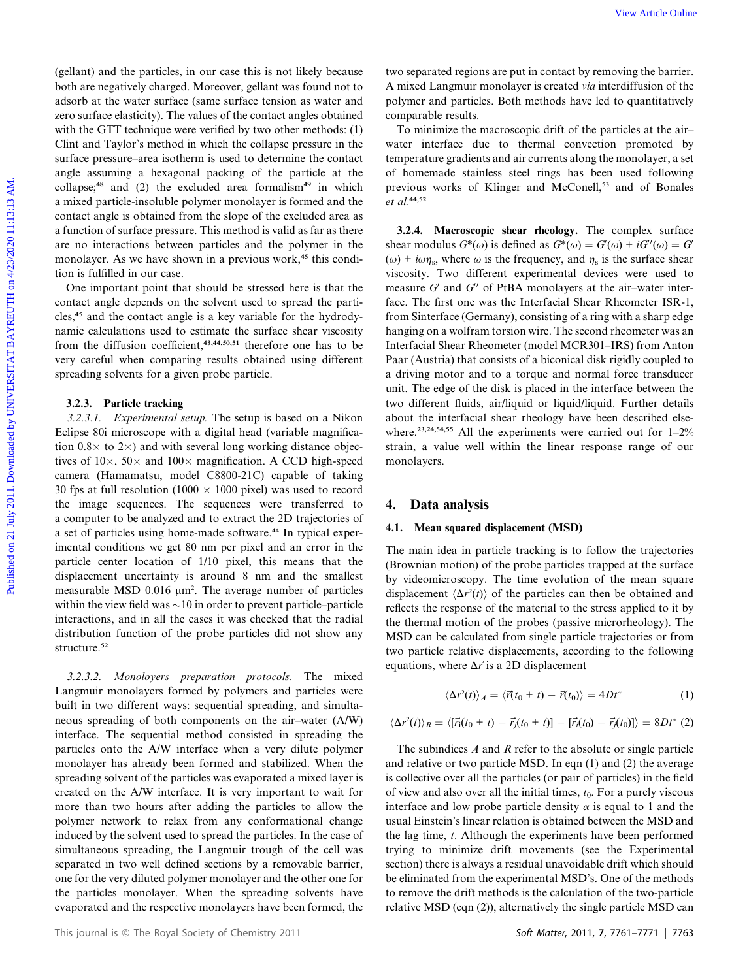(gellant) and the particles, in our case this is not likely because both are negatively charged. Moreover, gellant was found not to adsorb at the water surface (same surface tension as water and zero surface elasticity). The values of the contact angles obtained with the GTT technique were verified by two other methods: (1) Clint and Taylor's method in which the collapse pressure in the surface pressure–area isotherm is used to determine the contact angle assuming a hexagonal packing of the particle at the  $collapse$ ;<sup>48</sup> and (2) the excluded area formalism<sup>49</sup> in which a mixed particle-insoluble polymer monolayer is formed and the contact angle is obtained from the slope of the excluded area as a function of surface pressure. This method is valid as far as there are no interactions between particles and the polymer in the monolayer. As we have shown in a previous work,<sup>45</sup> this condition is fulfilled in our case.

One important point that should be stressed here is that the contact angle depends on the solvent used to spread the particles,<sup>45</sup> and the contact angle is a key variable for the hydrodynamic calculations used to estimate the surface shear viscosity from the diffusion coefficient, $43,44,50,51$  therefore one has to be very careful when comparing results obtained using different spreading solvents for a given probe particle.

## 3.2.3. Particle tracking

3.2.3.1. Experimental setup. The setup is based on a Nikon Eclipse 80i microscope with a digital head (variable magnification  $0.8 \times$  to  $2 \times$ ) and with several long working distance objectives of  $10\times$ ,  $50\times$  and  $100\times$  magnification. A CCD high-speed camera (Hamamatsu, model C8800-21C) capable of taking 30 fps at full resolution (1000  $\times$  1000 pixel) was used to record the image sequences. The sequences were transferred to a computer to be analyzed and to extract the 2D trajectories of a set of particles using home-made software.<sup>44</sup> In typical experimental conditions we get 80 nm per pixel and an error in the particle center location of 1/10 pixel, this means that the displacement uncertainty is around 8 nm and the smallest measurable MSD 0.016  $\mu$ m<sup>2</sup>. The average number of particles within the view field was  $\sim 10$  in order to prevent particle–particle interactions, and in all the cases it was checked that the radial distribution function of the probe particles did not show any structure.<sup>52</sup>

3.2.3.2. Monoloyers preparation protocols. The mixed Langmuir monolayers formed by polymers and particles were built in two different ways: sequential spreading, and simultaneous spreading of both components on the air–water (A/W) interface. The sequential method consisted in spreading the particles onto the A/W interface when a very dilute polymer monolayer has already been formed and stabilized. When the spreading solvent of the particles was evaporated a mixed layer is created on the A/W interface. It is very important to wait for more than two hours after adding the particles to allow the polymer network to relax from any conformational change induced by the solvent used to spread the particles. In the case of simultaneous spreading, the Langmuir trough of the cell was separated in two well defined sections by a removable barrier, one for the very diluted polymer monolayer and the other one for the particles monolayer. When the spreading solvents have evaporated and the respective monolayers have been formed, the

two separated regions are put in contact by removing the barrier. A mixed Langmuir monolayer is created via interdiffusion of the polymer and particles. Both methods have led to quantitatively comparable results.

To minimize the macroscopic drift of the particles at the air– water interface due to thermal convection promoted by temperature gradients and air currents along the monolayer, a set of homemade stainless steel rings has been used following previous works of Klinger and McConell,<sup>53</sup> and of Bonales et al.<sup>44,52</sup>

3.2.4. Macroscopic shear rheology. The complex surface shear modulus  $G^*(\omega)$  is defined as  $G^*(\omega) = G'(\omega) + iG''(\omega) = G$ <br>(a)  $+ i\omega n$ , where  $\omega$  is the frequency and n is the surface shear ( $\omega$ ) +  $i\omega\eta_s$ , where  $\omega$  is the frequency, and  $\eta_s$  is the surface shear viscosity. Two different experimental devices were used to measure  $G'$  and  $G''$  of PtBA monolayers at the air–water interface. The first one was the Interfacial Shear Rheometer ISR-1, from Sinterface (Germany), consisting of a ring with a sharp edge hanging on a wolfram torsion wire. The second rheometer was an Interfacial Shear Rheometer (model MCR301–IRS) from Anton Paar (Austria) that consists of a biconical disk rigidly coupled to a driving motor and to a torque and normal force transducer unit. The edge of the disk is placed in the interface between the two different fluids, air/liquid or liquid/liquid. Further details about the interfacial shear rheology have been described elsewhere.<sup>23,24,54,55</sup> All the experiments were carried out for  $1-2\%$ strain, a value well within the linear response range of our monolayers. We have a big at the street on the street on the street on the street on the street on the street on the street on the street on the street on the street on the street on the street one of the street one of the street onl

## 4. Data analysis

#### 4.1. Mean squared displacement (MSD)

The main idea in particle tracking is to follow the trajectories (Brownian motion) of the probe particles trapped at the surface by videomicroscopy. The time evolution of the mean square displacement  $\langle \Delta r^2(t) \rangle$  of the particles can then be obtained and reflects the response of the material to the stress applied to it by the thermal motion of the probes (passive microrheology). The MSD can be calculated from single particle trajectories or from two particle relative displacements, according to the following equations, where  $\Delta \vec{r}$  is a 2D displacement

$$
\langle \Delta r^2(t) \rangle_A = \langle \vec{r}(t_0 + t) - \vec{r}(t_0) \rangle = 4Dt^{\alpha}
$$
 (1)

$$
\langle \Delta r^2(t) \rangle_R = \langle [\vec{r}_i(t_0 + t) - \vec{r}_j(t_0 + t)] - [\vec{r}_i(t_0) - \vec{r}_j(t_0)] \rangle = 8Dt^{\alpha} (2)
$$

The subindices  $A$  and  $R$  refer to the absolute or single particle and relative or two particle MSD. In eqn (1) and (2) the average is collective over all the particles (or pair of particles) in the field of view and also over all the initial times,  $t_0$ . For a purely viscous interface and low probe particle density  $\alpha$  is equal to 1 and the usual Einstein's linear relation is obtained between the MSD and the lag time, t. Although the experiments have been performed trying to minimize drift movements (see the Experimental section) there is always a residual unavoidable drift which should be eliminated from the experimental MSD's. One of the methods to remove the drift methods is the calculation of the two-particle relative MSD (eqn (2)), alternatively the single particle MSD can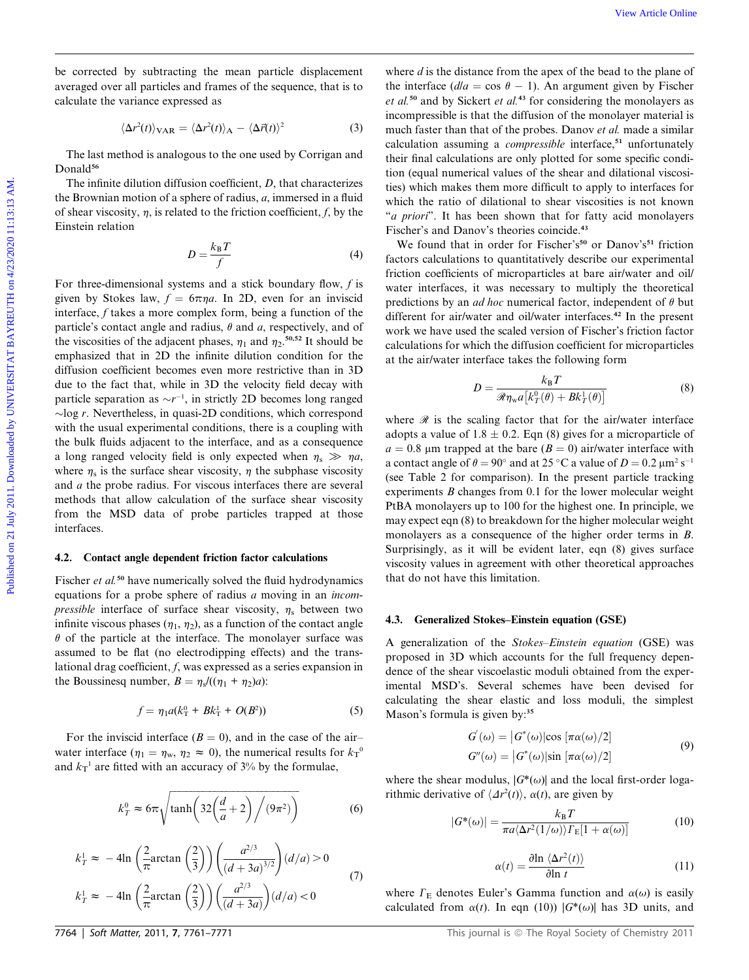be corrected by subtracting the mean particle displacement averaged over all particles and frames of the sequence, that is to calculate the variance expressed as

$$
\langle \Delta r^2(t) \rangle_{\text{VAR}} = \langle \Delta r^2(t) \rangle_A - \langle \Delta \vec{r}(t) \rangle^2 \tag{3}
$$

The last method is analogous to the one used by Corrigan and Donald<sup>56</sup>

The infinite dilution diffusion coefficient, D, that characterizes the Brownian motion of a sphere of radius,  $a$ , immersed in a fluid of shear viscosity,  $\eta$ , is related to the friction coefficient, f, by the Einstein relation

$$
D = \frac{k_{\rm B}T}{f} \tag{4}
$$

For three-dimensional systems and a stick boundary flow, f is given by Stokes law,  $f = 6\pi\eta a$ . In 2D, even for an inviscid interface, f takes a more complex form, being a function of the particle's contact angle and radius,  $\theta$  and a, respectively, and of the viscosities of the adjacent phases,  $\eta_1$  and  $\eta_2$ ,<sup>50,52</sup> It should be<br>emphasized that in 2D the infinite dilution condition for the emphasized that in 2D the infinite dilution condition for the diffusion coefficient becomes even more restrictive than in 3D due to the fact that, while in 3D the velocity field decay with particle separation as  $\sim r^{-1}$ , in strictly 2D becomes long ranged  $\sim$ log r. Nevertheless, in quasi-2D conditions, which correspond with the usual experimental conditions, there is a coupling with the bulk fluids adjacent to the interface, and as a consequence a long ranged velocity field is only expected when  $\eta_s \gg \eta a$ , where  $\eta_s$  is the surface shear viscosity,  $\eta$  the subphase viscosity and a the probe radius. For viscous interfaces there are several methods that allow calculation of the surface shear viscosity from the MSD data of probe particles trapped at those interfaces. We accuse<br>the corooted by nabinacing the mean particle deplacement. where *d* in be interimed to reverse the coron of the coron of the coron of the coron of the coron of the coron of the coron of the coron of the state of

#### 4.2. Contact angle dependent friction factor calculations

Fischer et al.<sup>50</sup> have numerically solved the fluid hydrodynamics equations for a probe sphere of radius a moving in an incompressible interface of surface shear viscosity,  $\eta_s$  between two infinite viscous phases  $(\eta_1, \eta_2)$ , as a function of the contact angle  $\theta$  of the particle at the interface. The monolayer surface was assumed to be flat (no electrodipping effects) and the translational drag coefficient,  $f$ , was expressed as a series expansion in the Boussinesq number,  $B = \eta_s/((\eta_1 + \eta_2)a)$ :

$$
f = \eta_1 a (k_{\rm T}^0 + B k_{\rm T}^1 + O(B^2))
$$
 (5)

For the inviscid interface  $(B = 0)$ , and in the case of the air– water interface  $(\eta_1 = \eta_w, \eta_2 \approx 0)$ , the numerical results for  $k_T^0$ <br>and  $k_T^1$  are fitted with an accuracy of 3% by the formulae and  $k_T$ <sup>1</sup> are fitted with an accuracy of 3% by the formulae,

$$
k_T^0 \approx 6\pi \sqrt{\tanh\left(32\left(\frac{d}{a} + 2\right)/(9\pi^2)\right)}
$$
 (6)

$$
k_T^1 \approx -4\ln\left(\frac{2}{\pi}\arctan\left(\frac{2}{3}\right)\right)\left(\frac{a^{2/3}}{(d+3a)^{3/2}}\right)(d/a) > 0
$$
  
\n
$$
k_T^1 \approx -4\ln\left(\frac{2}{\pi}\arctan\left(\frac{2}{3}\right)\right)\left(\frac{a^{2/3}}{(d+3a)}\right)(d/a) < 0
$$
\n(7)

where  $d$  is the distance from the apex of the bead to the plane of the interface  $(d/a = \cos \theta - 1)$ . An argument given by Fischer et al.<sup>50</sup> and by Sickert et al.<sup>43</sup> for considering the monolayers as incompressible is that the diffusion of the monolayer material is much faster than that of the probes. Danov et al. made a similar calculation assuming a *compressible* interface,<sup>51</sup> unfortunately their final calculations are only plotted for some specific condition (equal numerical values of the shear and dilational viscosities) which makes them more difficult to apply to interfaces for which the ratio of dilational to shear viscosities is not known "a priori". It has been shown that for fatty acid monolayers Fischer's and Danov's theories coincide.<sup>43</sup>

We found that in order for Fischer's<sup>50</sup> or Danov's<sup>51</sup> friction factors calculations to quantitatively describe our experimental friction coefficients of microparticles at bare air/water and oil/ water interfaces, it was necessary to multiply the theoretical predictions by an *ad hoc* numerical factor, independent of  $\theta$  but different for air/water and oil/water interfaces.<sup>42</sup> In the present work we have used the scaled version of Fischer's friction factor calculations for which the diffusion coefficient for microparticles at the air/water interface takes the following form

$$
D = \frac{k_{\rm B}T}{\mathcal{R}\eta_{\rm w}a\left[k_T^0(\theta) + Bk_T^1(\theta)\right]}
$$
 (8)

where  $\mathcal R$  is the scaling factor that for the air/water interface adopts a value of 1.8  $\pm$  0.2. Eqn (8) gives for a microparticle of  $a = 0.8$  µm trapped at the bare ( $B = 0$ ) air/water interface with a contact angle of  $\theta = 90^\circ$  and at 25 °C a value of  $D = 0.2 \text{ }\mu\text{m}^2 \text{ s}^{-1}$ (see Table 2 for comparison). In the present particle tracking experiments B changes from 0.1 for the lower molecular weight PtBA monolayers up to 100 for the highest one. In principle, we may expect eqn (8) to breakdown for the higher molecular weight monolayers as a consequence of the higher order terms in B. Surprisingly, as it will be evident later, eqn (8) gives surface viscosity values in agreement with other theoretical approaches that do not have this limitation.

#### 4.3. Generalized Stokes–Einstein equation (GSE)

A generalization of the Stokes–Einstein equation (GSE) was proposed in 3D which accounts for the full frequency dependence of the shear viscoelastic moduli obtained from the experimental MSD's. Several schemes have been devised for calculating the shear elastic and loss moduli, the simplest Mason's formula is given by:<sup>35</sup>

$$
G'(\omega) = |G^*(\omega)|\cos[\pi \alpha(\omega)/2]
$$
  
\n
$$
G''(\omega) = |G^*(\omega)|\sin[\pi \alpha(\omega)/2]
$$
\n(9)

where the shear modulus,  $|G^*(\omega)|$  and the local first-order logarithmic derivative of  $\langle \Delta r^2(t) \rangle$ ,  $\alpha(t)$ , are given by

$$
|G^*(\omega)| = \frac{k_B T}{\pi a \langle \Delta r^2 (1/\omega) \rangle F_E[1 + \alpha(\omega)]}
$$
(10)

$$
\alpha(t) = \frac{\partial \ln \langle \Delta r^2(t) \rangle}{\partial \ln t}
$$
 (11)

where  $\Gamma_{\rm E}$  denotes Euler's Gamma function and  $\alpha(\omega)$  is easily calculated from  $\alpha(t)$ . In eqn (10))  $|G^*(\omega)|$  has 3D units, and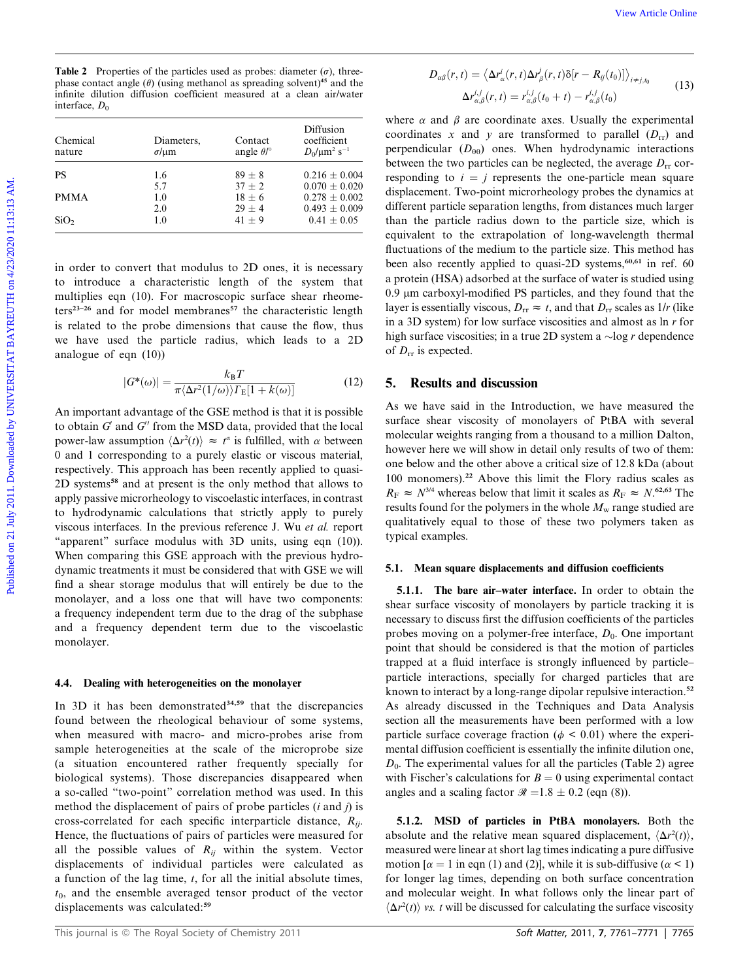**Table 2** Properties of the particles used as probes: diameter  $(\sigma)$ , threephase contact angle  $(\theta)$  (using methanol as spreading solvent)<sup>45</sup> and the infinite dilution diffusion coefficient measured at a clean air/water interface,  $D_0$ 

| Chemical<br>nature | Diameters,<br>$\sigma/\mu m$ | Contact<br>angle $\theta$ /° | Diffusion<br>coefficient<br>$D_0/\mu m^2 s^{-1}$ |
|--------------------|------------------------------|------------------------------|--------------------------------------------------|
| <b>PS</b>          | 1.6                          | $89 + 8$                     | $0.216 \pm 0.004$                                |
|                    | 5.7                          | $37 + 2$                     | $0.070 \pm 0.020$                                |
| <b>PMMA</b>        | 1.0                          | $18 + 6$                     | $0.278 \pm 0.002$                                |
|                    | 2.0                          | $29 + 4$                     | $0.493 \pm 0.009$                                |
| SiO <sub>2</sub>   | 1.0                          | $41 \pm 9$                   | $0.41 \pm 0.05$                                  |

in order to convert that modulus to 2D ones, it is necessary to introduce a characteristic length of the system that multiplies eqn (10). For macroscopic surface shear rheome $ters^{23-26}$  and for model membranes<sup>57</sup> the characteristic length is related to the probe dimensions that cause the flow, thus we have used the particle radius, which leads to a 2D analogue of eqn (10))

$$
|G^*(\omega)| = \frac{k_B T}{\pi \langle \Delta r^2 (1/\omega) \rangle T_E [1 + k(\omega)]}
$$
(12)

An important advantage of the GSE method is that it is possible to obtain  $G'$  and  $G''$  from the MSD data, provided that the local power-law assumption  $\langle \Delta r^2(t) \rangle \approx t^{\alpha}$  is fulfilled, with  $\alpha$  between<br>0 and 1 corresponding to a purely elastic or viscous material 0 and 1 corresponding to a purely elastic or viscous material, respectively. This approach has been recently applied to quasi-2D systems<sup>58</sup> and at present is the only method that allows to apply passive microrheology to viscoelastic interfaces, in contrast to hydrodynamic calculations that strictly apply to purely viscous interfaces. In the previous reference J. Wu et al. report "apparent" surface modulus with 3D units, using eqn (10)). When comparing this GSE approach with the previous hydrodynamic treatments it must be considered that with GSE we will find a shear storage modulus that will entirely be due to the monolayer, and a loss one that will have two components: a frequency independent term due to the drag of the subphase and a frequency dependent term due to the viscoelastic monolayer.

#### 4.4. Dealing with heterogeneities on the monolayer

In  $3D$  it has been demonstrated<sup>34,59</sup> that the discrepancies found between the rheological behaviour of some systems, when measured with macro- and micro-probes arise from sample heterogeneities at the scale of the microprobe size (a situation encountered rather frequently specially for biological systems). Those discrepancies disappeared when a so-called ''two-point'' correlation method was used. In this method the displacement of pairs of probe particles  $(i \text{ and } j)$  is cross-correlated for each specific interparticle distance,  $R_{ii}$ . Hence, the fluctuations of pairs of particles were measured for all the possible values of  $R_{ij}$  within the system. Vector displacements of individual particles were calculated as a function of the lag time,  $t$ , for all the initial absolute times,  $t_0$ , and the ensemble averaged tensor product of the vector displacements was calculated:<sup>59</sup>

$$
D_{\alpha\beta}(r,t) = \left\langle \Delta r_{\alpha}^{i}(r,t) \Delta r_{\beta}^{j}(r,t) \delta[r - R_{ij}(t_0)] \right\rangle_{i \neq j,t_0}
$$
  

$$
\Delta r_{\alpha,\beta}^{i,j}(r,t) = r_{\alpha,\beta}^{i,j}(t_0 + t) - r_{\alpha,\beta}^{i,j}(t_0)
$$
 (13)

where  $\alpha$  and  $\beta$  are coordinate axes. Usually the experimental coordinates x and y are transformed to parallel  $(D_{rr})$  and perpendicular  $(D_{\theta\theta})$  ones. When hydrodynamic interactions between the two particles can be neglected, the average  $D_{rr}$  corresponding to  $i = j$  represents the one-particle mean square displacement. Two-point microrheology probes the dynamics at different particle separation lengths, from distances much larger than the particle radius down to the particle size, which is equivalent to the extrapolation of long-wavelength thermal fluctuations of the medium to the particle size. This method has been also recently applied to quasi-2D systems, $60,61$  in ref. 60 a protein (HSA) adsorbed at the surface of water is studied using 0.9 µm carboxyl-modified PS particles, and they found that the layer is essentially viscous,  $D_{rr} \approx t$ , and that  $D_{rr}$  scales as 1/r (like in a 3D system) for low surface viscosities and almost as  $\ln r$  for high surface viscosities; in a true 2D system a  $\sim$ log r dependence of  $D_{rr}$  is expected. **Fake 2** Properties of the particle such as probable and probable and probable conditions (and the properties on 21 July 2011. Downloaded by the conditions of the conditions of the conditions of the conditions of the cond

## 5. Results and discussion

As we have said in the Introduction, we have measured the surface shear viscosity of monolayers of PtBA with several molecular weights ranging from a thousand to a million Dalton, however here we will show in detail only results of two of them: one below and the other above a critical size of 12.8 kDa (about 100 monomers).<sup>22</sup> Above this limit the Flory radius scales as  $R_{\rm F} \approx N^{3/4}$  whereas below that limit it scales as  $R_{\rm F} \approx N^{62,63}$  The results found for the polymers in the whole  $M_w$  range studied are qualitatively equal to those of these two polymers taken as typical examples.

#### 5.1. Mean square displacements and diffusion coefficients

5.1.1. The bare air–water interface. In order to obtain the shear surface viscosity of monolayers by particle tracking it is necessary to discuss first the diffusion coefficients of the particles probes moving on a polymer-free interface,  $D_0$ . One important point that should be considered is that the motion of particles trapped at a fluid interface is strongly influenced by particle– particle interactions, specially for charged particles that are known to interact by a long-range dipolar repulsive interaction.<sup>52</sup> As already discussed in the Techniques and Data Analysis section all the measurements have been performed with a low particle surface coverage fraction ( $\phi$  < 0.01) where the experimental diffusion coefficient is essentially the infinite dilution one,  $D_0$ . The experimental values for all the particles (Table 2) agree with Fischer's calculations for  $B = 0$  using experimental contact angles and a scaling factor  $\mathcal{R} = 1.8 \pm 0.2$  (eqn (8)).

5.1.2. MSD of particles in PtBA monolayers. Both the absolute and the relative mean squared displacement,  $\langle \Delta r^2(t) \rangle$ , measured were linear at short lag times indicating a pure diffusive motion  $\alpha = 1$  in eqn (1) and (2)], while it is sub-diffusive ( $\alpha < 1$ ) for longer lag times, depending on both surface concentration and molecular weight. In what follows only the linear part of  $\langle \Delta r^2(t) \rangle$  vs. t will be discussed for calculating the surface viscosity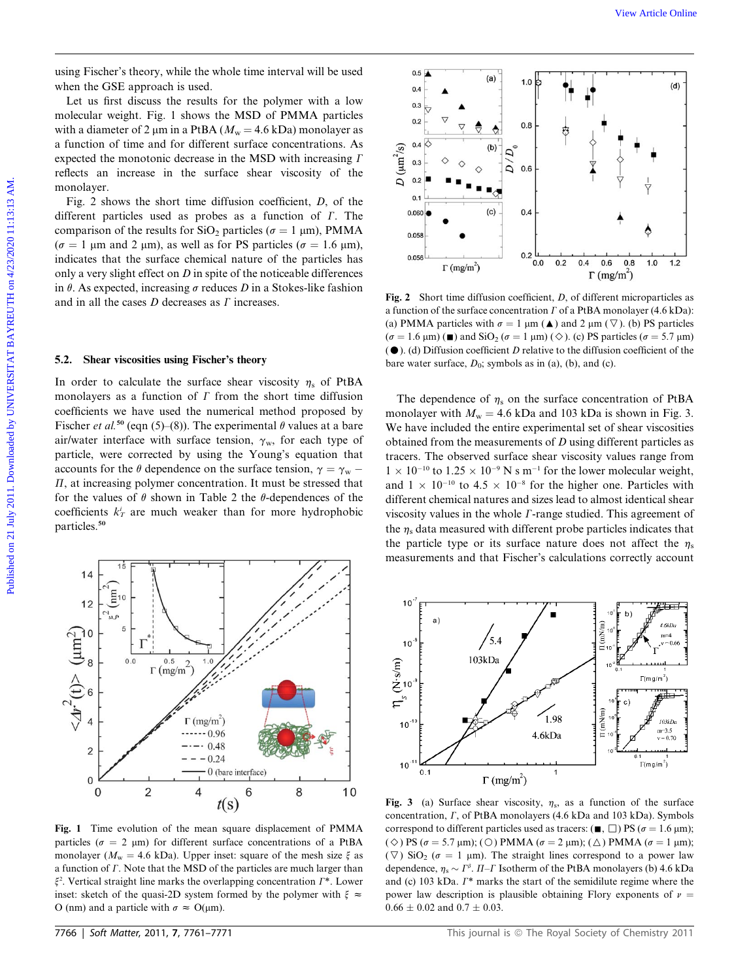using Fischer's theory, while the whole time interval will be used when the GSE approach is used.

Let us first discuss the results for the polymer with a low molecular weight. Fig. 1 shows the MSD of PMMA particles with a diameter of 2  $\mu$ m in a PtBA ( $M_w = 4.6$  kDa) monolayer as a function of time and for different surface concentrations. As expected the monotonic decrease in the MSD with increasing  $\Gamma$ reflects an increase in the surface shear viscosity of the monolayer.

Fig. 2 shows the short time diffusion coefficient, D, of the different particles used as probes as a function of  $\Gamma$ . The comparison of the results for SiO<sub>2</sub> particles ( $\sigma = 1 \,\mu$ m), PMMA  $(\sigma = 1 \mu m \text{ and } 2 \mu m)$ , as well as for PS particles  $(\sigma = 1.6 \mu m)$ , indicates that the surface chemical nature of the particles has only a very slight effect on  $D$  in spite of the noticeable differences in  $\theta$ . As expected, increasing  $\sigma$  reduces D in a Stokes-like fashion and in all the cases  $D$  decreases as  $\Gamma$  increases.

#### 5.2. Shear viscosities using Fischer's theory

In order to calculate the surface shear viscosity  $\eta_s$  of PtBA monolayers as a function of  $\Gamma$  from the short time diffusion coefficients we have used the numerical method proposed by Fischer *et al.*<sup>50</sup> (eqn (5)–(8)). The experimental  $\theta$  values at a bare air/water interface with surface tension,  $\gamma_w$ , for each type of particle, were corrected by using the Young's equation that accounts for the  $\theta$  dependence on the surface tension,  $\gamma = \gamma_w$  –  $\Pi$ , at increasing polymer concentration. It must be stressed that for the values of  $\theta$  shown in Table 2 the  $\theta$ -dependences of the coefficients  $k_T$  are much weaker than for more hydrophobic particles.<sup>50</sup>



Fig. 1 Time evolution of the mean square displacement of PMMA particles ( $\sigma = 2 \mu m$ ) for different surface concentrations of a PtBA monolayer ( $M_w = 4.6$  kDa). Upper inset: square of the mesh size  $\xi$  as a function of  $\Gamma$ . Note that the MSD of the particles are much larger than  $\xi^2$ . Vertical straight line marks the overlapping concentration  $\Gamma^*$ . Lower inset: sketch of the quasi-2D system formed by the polymer with  $\xi \approx$ O (nm) and a particle with  $\sigma \approx O(\mu m)$ .



Fig. 2 Short time diffusion coefficient, D, of different microparticles as a function of the surface concentration  $\Gamma$  of a PtBA monolayer (4.6 kDa): (a) PMMA particles with  $\sigma = 1 \mu m$  ( $\triangle$ ) and 2  $\mu m$  ( $\nabla$ ). (b) PS particles  $(\sigma = 1.6 \,\mu\text{m})$  ( $\blacksquare$ ) and SiO<sub>2</sub> ( $\sigma = 1 \,\mu\text{m}$ ) ( $\diamond$ ). (c) PS particles ( $\sigma = 5.7 \,\mu\text{m}$ )  $(\bullet)$ . (d) Diffusion coefficient D relative to the diffusion coefficient of the bare water surface,  $D_0$ ; symbols as in (a), (b), and (c).

The dependence of  $\eta_s$  on the surface concentration of PtBA monolayer with  $M_w = 4.6$  kDa and 103 kDa is shown in Fig. 3. We have included the entire experimental set of shear viscosities obtained from the measurements of D using different particles as tracers. The observed surface shear viscosity values range from  $1 \times 10^{-10}$  to  $1.25 \times 10^{-9}$  N s m<sup>-1</sup> for the lower molecular weight, and  $1 \times 10^{-10}$  to  $4.5 \times 10^{-8}$  for the higher one. Particles with different chemical natures and sizes lead to almost identical shear viscosity values in the whole *-range studied. This agreement of* the  $n<sub>s</sub>$  data measured with different probe particles indicates that the particle type or its surface nature does not affect the  $\eta_s$ measurements and that Fischer's calculations correctly account



Fig. 3 (a) Surface shear viscosity,  $\eta_s$ , as a function of the surface concentration,  $\Gamma$ , of PtBA monolayers (4.6 kDa and 103 kDa). Symbols correspond to different particles used as tracers:  $(\blacksquare, \square)$  PS ( $\sigma = 1.6 \,\mu\text{m}$ ); (  $\Diamond$  ) PS ( $\sigma$  = 5.7 μm); ( $\circ$ ) PMMA ( $\sigma$  = 2 μm); ( $\triangle$ ) PMMA ( $\sigma$  = 1 μm); ( $\nabla$ ) SiO<sub>2</sub> ( $\sigma = 1$  µm). The straight lines correspond to a power law dependence,  $\eta_s \sim \Gamma^{\beta}$ .  $\Pi$ – $\Gamma$  Isotherm of the PtBA monolayers (b) 4.6 kDa<br>and (a) 103 kDa.  $\Gamma^*$  marks the start of the semidilyte regime where the and (c) 103 kDa.  $\Gamma^*$  marks the start of the semidilute regime where the power law description is plausible obtaining Flory exponents of  $\nu$  =  $0.66 \pm 0.02$  and  $0.7 \pm 0.03$ .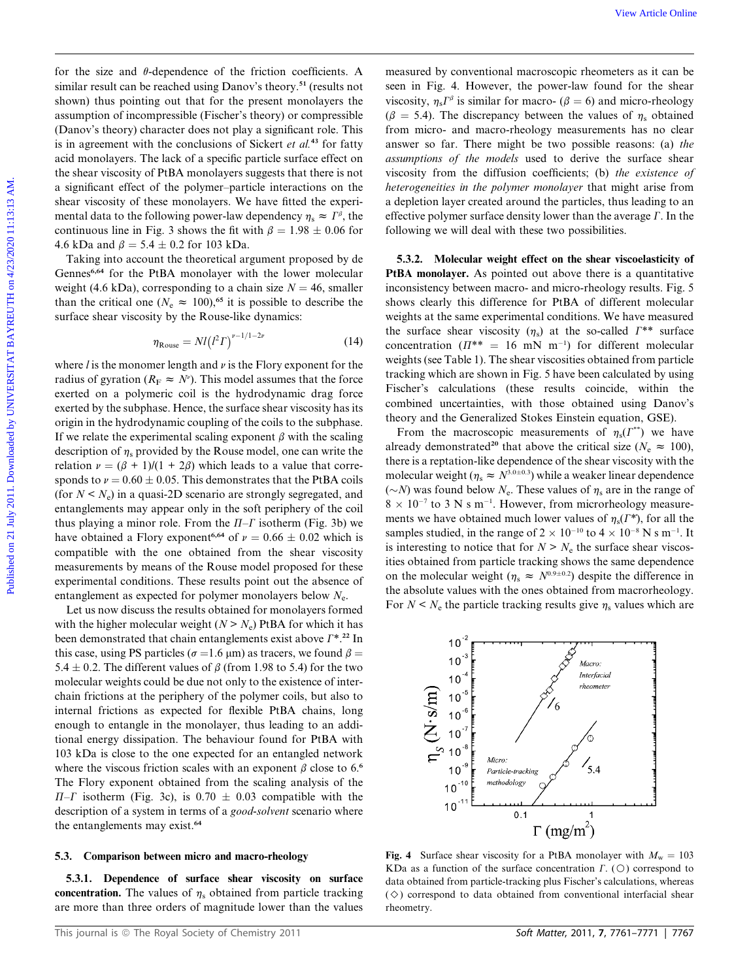for the size and  $\theta$ -dependence of the friction coefficients. A similar result can be reached using Danov's theory.<sup>51</sup> (results not shown) thus pointing out that for the present monolayers the assumption of incompressible (Fischer's theory) or compressible (Danov's theory) character does not play a significant role. This is in agreement with the conclusions of Sickert  $et$   $al$ .<sup>43</sup> for fatty acid monolayers. The lack of a specific particle surface effect on the shear viscosity of PtBA monolayers suggests that there is not a significant effect of the polymer–particle interactions on the shear viscosity of these monolayers. We have fitted the experimental data to the following power-law dependency  $\eta_s \approx \Gamma^\beta$ , the continuous line in Fig. 3 shows the fit with  $\beta = 1.98 \pm 0.06$  for continuous line in Fig. 3 shows the fit with  $\beta = 1.98 \pm 0.06$  for 4.6 kDa and  $\beta = 5.4 \pm 0.2$  for 103 kDa.

Taking into account the theoretical argument proposed by de Gennes<sup>6,64</sup> for the PtBA monolayer with the lower molecular weight (4.6 kDa), corresponding to a chain size  $N = 46$ , smaller than the critical one ( $N_e \approx 100$ ),<sup>65</sup> it is possible to describe the surface shear viscosity by the Rouse-like dynamics:

$$
\eta_{\text{Rouse}} = NI(l^2 \Gamma)^{\nu - 1/1 - 2\nu} \tag{14}
$$

where  $l$  is the monomer length and  $\nu$  is the Flory exponent for the radius of gyration ( $R_F \approx N^{\nu}$ ). This model assumes that the force exerted on a polymeric coil is the hydrodynamic drag force exerted by the subphase. Hence, the surface shear viscosity has its origin in the hydrodynamic coupling of the coils to the subphase. If we relate the experimental scaling exponent  $\beta$  with the scaling description of  $\eta_s$  provided by the Rouse model, one can write the relation  $\nu = (\beta + 1)/(1 + 2\beta)$  which leads to a value that corresponds to  $v = 0.60 \pm 0.05$ . This demonstrates that the PtBA coils (for  $N < N_e$ ) in a quasi-2D scenario are strongly segregated, and entanglements may appear only in the soft periphery of the coil thus playing a minor role. From the  $\Pi$ – $\Gamma$  isotherm (Fig. 3b) we have obtained a Flory exponent<sup>6,64</sup> of  $\nu = 0.66 \pm 0.02$  which is compatible with the one obtained from the shear viscosity measurements by means of the Rouse model proposed for these experimental conditions. These results point out the absence of entanglement as expected for polymer monolayers below  $N_{e}$ . For the size and  $\theta$ -dependence of the friction coefficients. A measured by conventional nuarconopsi theometical strength or the strength or the strength or the strength or the strength or the strength or the strength or

Let us now discuss the results obtained for monolayers formed with the higher molecular weight ( $N > N_e$ ) PtBA for which it has been demonstrated that chain entanglements exist above  $\Gamma^{*,22}$  In this case, using PS particles ( $\sigma$  =1.6 µm) as tracers, we found  $\beta$  = 5.4  $\pm$  0.2. The different values of  $\beta$  (from 1.98 to 5.4) for the two molecular weights could be due not only to the existence of interchain frictions at the periphery of the polymer coils, but also to internal frictions as expected for flexible PtBA chains, long enough to entangle in the monolayer, thus leading to an additional energy dissipation. The behaviour found for PtBA with 103 kDa is close to the one expected for an entangled network where the viscous friction scales with an exponent  $\beta$  close to 6.<sup>6</sup> The Flory exponent obtained from the scaling analysis of the  $\Pi$ –*F* isotherm (Fig. 3c), is 0.70  $\pm$  0.03 compatible with the description of a system in terms of a good-solvent scenario where the entanglements may exist.<sup>64</sup>

#### 5.3. Comparison between micro and macro-rheology

5.3.1. Dependence of surface shear viscosity on surface concentration. The values of  $\eta_s$  obtained from particle tracking are more than three orders of magnitude lower than the values

measured by conventional macroscopic rheometers as it can be seen in Fig. 4. However, the power-law found for the shear viscosity,  $\eta_s \Gamma^\beta$  is similar for macro- ( $\beta = 6$ ) and micro-rheology ( $\beta$  = 5.4). The discrepancy between the values of  $\eta_s$  obtained from micro- and macro-rheology measurements has no clear answer so far. There might be two possible reasons: (a) the assumptions of the models used to derive the surface shear viscosity from the diffusion coefficients; (b) the existence of heterogeneities in the polymer monolayer that might arise from a depletion layer created around the particles, thus leading to an effective polymer surface density lower than the average  $\Gamma$ . In the following we will deal with these two possibilities.

5.3.2. Molecular weight effect on the shear viscoelasticity of PtBA monolayer. As pointed out above there is a quantitative inconsistency between macro- and micro-rheology results. Fig. 5 shows clearly this difference for PtBA of different molecular weights at the same experimental conditions. We have measured the surface shear viscosity  $(\eta_s)$  at the so-called  $\Gamma^{**}$  surface concentration  $(\Pi^{**} = 16 \text{ mN m}^{-1})$  for different molecular<br>weights (see Table 1). The shear viscosities obtained from particle weights (see Table 1). The shear viscosities obtained from particle tracking which are shown in Fig. 5 have been calculated by using Fischer's calculations (these results coincide, within the combined uncertainties, with those obtained using Danov's theory and the Generalized Stokes Einstein equation, GSE).

From the macroscopic measurements of  $\eta_s(\Gamma^{**})$  we have already demonstrated<sup>20</sup> that above the critical size ( $N_e \approx 100$ ), there is a reptation-like dependence of the shear viscosity with the molecular weight ( $\eta_s \approx N^{3.0\pm0.3}$ ) while a weaker linear dependence ( $\sim N$ ) was found below  $N_e$ . These values of  $\eta_s$  are in the range of  $8 \times 10^{-7}$  to 3 N s m<sup>-1</sup>. However, from microrheology measurements we have obtained much lower values of  $\eta_s(\Gamma^*)$ , for all the samples studied, in the range of  $2 \times 10^{-10}$  to  $4 \times 10^{-8}$  N s m<sup>-1</sup>. It is interesting to notice that for  $N > N_e$  the surface shear viscosities obtained from particle tracking shows the same dependence on the molecular weight ( $\eta_s \approx N^{0.9\pm0.2}$ ) despite the difference in the absolute values with the ones obtained from macrorheology. For  $N < N_e$  the particle tracking results give  $\eta_s$  values which are



Fig. 4 Surface shear viscosity for a PtBA monolayer with  $M_w = 103$ KDa as a function of the surface concentration  $\Gamma$ . ( $\bigcirc$ ) correspond to data obtained from particle-tracking plus Fischer's calculations, whereas  $(\diamond)$  correspond to data obtained from conventional interfacial shear rheometry.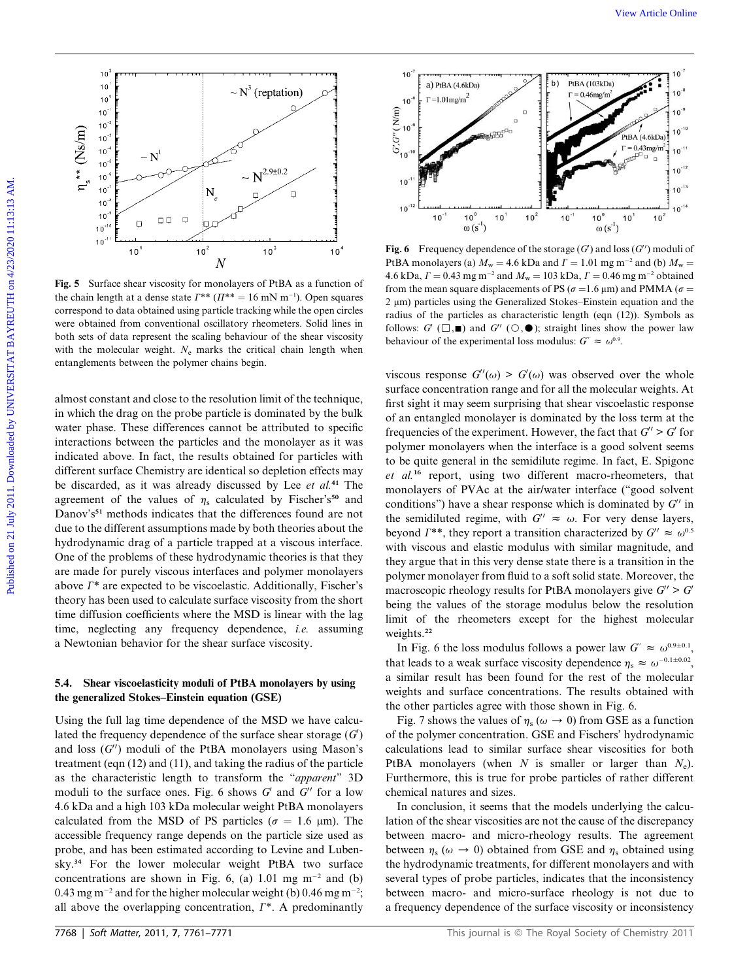

Fig. 5 Surface shear viscosity for monolayers of PtBA as a function of the chain length at a dense state  $\Gamma^{**}$  ( $\Pi^{**} = 16$  mN m<sup>-1</sup>). Open squares correspond to data obtained using particle tracking while the open circles were obtained from conventional oscillatory rheometers. Solid lines in both sets of data represent the scaling behaviour of the shear viscosity with the molecular weight.  $N_e$  marks the critical chain length when entanglements between the polymer chains begin.

almost constant and close to the resolution limit of the technique, in which the drag on the probe particle is dominated by the bulk water phase. These differences cannot be attributed to specific interactions between the particles and the monolayer as it was indicated above. In fact, the results obtained for particles with different surface Chemistry are identical so depletion effects may be discarded, as it was already discussed by Lee et al.<sup>41</sup> The agreement of the values of  $\eta_s$  calculated by Fischer's<sup>50</sup> and Danov's<sup>51</sup> methods indicates that the differences found are not due to the different assumptions made by both theories about the hydrodynamic drag of a particle trapped at a viscous interface. One of the problems of these hydrodynamic theories is that they are made for purely viscous interfaces and polymer monolayers above  $\Gamma^*$  are expected to be viscoelastic. Additionally, Fischer's theory has been used to calculate surface viscosity from the short time diffusion coefficients where the MSD is linear with the lag time, neglecting any frequency dependence, *i.e.* assuming a Newtonian behavior for the shear surface viscosity.

## 5.4. Shear viscoelasticity moduli of PtBA monolayers by using the generalized Stokes–Einstein equation (GSE)

Using the full lag time dependence of the MSD we have calculated the frequency dependence of the surface shear storage  $(G)$ and loss  $(G'')$  moduli of the PtBA monolayers using Mason's treatment (eqn (12) and (11), and taking the radius of the particle as the characteristic length to transform the "apparent" 3D moduli to the surface ones. Fig. 6 shows  $G'$  and  $G''$  for a low 4.6 kDa and a high 103 kDa molecular weight PtBA monolayers calculated from the MSD of PS particles ( $\sigma = 1.6$  µm). The accessible frequency range depends on the particle size used as probe, and has been estimated according to Levine and Lubensky.<sup>34</sup> For the lower molecular weight PtBA two surface concentrations are shown in Fig. 6, (a)  $1.01$  mg m<sup>-2</sup> and (b) 0.43 mg m<sup>-2</sup> and for the higher molecular weight (b) 0.46 mg m<sup>-2</sup>; all above the overlapping concentration,  $\Gamma^*$ . A predominantly



**Fig. 6** Frequency dependence of the storage  $(G')$  and loss  $(G'')$  moduli of PtBA monolayers (a)  $M_w = 4.6$  kDa and  $\Gamma = 1.01$  mg m<sup>-2</sup> and (b)  $M_w =$ 4.6 kDa,  $\Gamma = 0.43$  mg m<sup>-2</sup> and  $M_w = 103$  kDa,  $\Gamma = 0.46$  mg m<sup>-2</sup> obtained from the mean square displacements of PS ( $\sigma$  =1.6 µm) and PMMA ( $\sigma$  = 2 um) particles using the Generalized Stokes–Einstein equation and the radius of the particles as characteristic length (eqn (12)). Symbols as follows:  $G'(\square, \square)$  and  $G''(\bigcirc, \bullet)$ ; straight lines show the power law behaviour of the experimental loss modulus:  $G' \approx \omega^{0.9}$ .

viscous response  $G''(\omega) > G'(\omega)$  was observed over the whole<br>surface concentration range and for all the molecular weights. At surface concentration range and for all the molecular weights. At first sight it may seem surprising that shear viscoelastic response of an entangled monolayer is dominated by the loss term at the frequencies of the experiment. However, the fact that  $G'' > G'$  for polymer monolayers when the interface is a good solvent seems to be quite general in the semidilute regime. In fact, E. Spigone et al.<sup>16</sup> report, using two different macro-rheometers, that monolayers of PVAc at the air/water interface (''good solvent conditions") have a shear response which is dominated by  $G''$  in the semidiluted regime, with  $G'' \approx \omega$ . For very dense layers, beyond  $\Gamma^{**}$ , they report a transition characterized by  $G'' \approx \omega^{0.5}$ with viscous and elastic modulus with similar magnitude, and they argue that in this very dense state there is a transition in the polymer monolayer from fluid to a soft solid state. Moreover, the macroscopic rheology results for PtBA monolayers give  $G'' > G'$ being the values of the storage modulus below the resolution limit of the rheometers except for the highest molecular weights.<sup>22</sup> Furthermore the special state of  $\theta$  July 2011. The special state of  $\theta$  and  $\theta$  is the special of  $\theta$  and  $\theta$  is the special of  $\theta$  and  $\theta$  is the special of  $\theta$  and  $\theta$  is the special of  $\theta$  and  $\theta$  is the sp

> In Fig. 6 the loss modulus follows a power law  $G' \approx \omega^{0.9\pm0.1}$ ,<br>at leads to a weak surface viscosity dependence  $n \approx \omega^{-0.1\pm0.02}$ that leads to a weak surface viscosity dependence  $\eta_s \approx \omega^{-0.1\pm0.02}$ , a similar result has been found for the rest of the molecular weights and surface concentrations. The results obtained with the other particles agree with those shown in Fig. 6.

> Fig. 7 shows the values of  $\eta_s (\omega \to 0)$  from GSE as a function of the polymer concentration. GSE and Fischers' hydrodynamic calculations lead to similar surface shear viscosities for both PtBA monolayers (when  $N$  is smaller or larger than  $N_e$ ). Furthermore, this is true for probe particles of rather different chemical natures and sizes.

> In conclusion, it seems that the models underlying the calculation of the shear viscosities are not the cause of the discrepancy between macro- and micro-rheology results. The agreement between  $\eta_s (\omega \to 0)$  obtained from GSE and  $\eta_s$  obtained using the hydrodynamic treatments, for different monolayers and with several types of probe particles, indicates that the inconsistency between macro- and micro-surface rheology is not due to a frequency dependence of the surface viscosity or inconsistency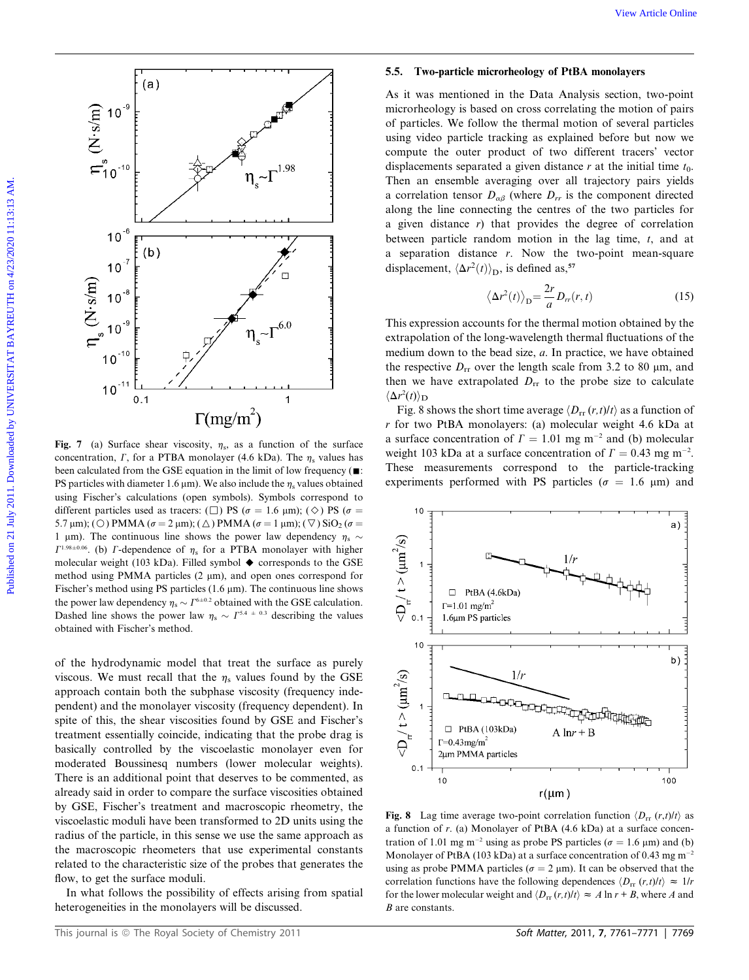

Fig. 7 (a) Surface shear viscosity,  $\eta_s$ , as a function of the surface concentration,  $\Gamma$ , for a PTBA monolayer (4.6 kDa). The  $\eta_s$  values has been calculated from the GSE equation in the limit of low frequency  $($  $\blacksquare$ : PS particles with diameter 1.6  $\mu$ m). We also include the  $\eta_s$  values obtained using Fischer's calculations (open symbols). Symbols correspond to different particles used as tracers: ( $\Box$ ) PS ( $\sigma = 1.6$  µm); ( $\diamond$ ) PS ( $\sigma =$ 5.7  $\mu$ m); (O) PMMA ( $\sigma$  = 2  $\mu$ m); ( $\triangle$ ) PMMA ( $\sigma$  = 1  $\mu$ m); ( $\nabla$ ) SiO<sub>2</sub> ( $\sigma$  = 1 µm). The continuous line shows the power law dependency  $\eta_s \sim$  $\Gamma^{1.98\pm0.06}$ . (b) *T*-dependence of  $\eta_s$  for a PTBA monolayer with higher molecular weight (103 kDa). Filled symbol  $\blacklozenge$  corresponds to the GSE method using PMMA particles  $(2 \mu m)$ , and open ones correspond for Fischer's method using PS particles  $(1.6 \mu m)$ . The continuous line shows the power law dependency  $\eta_s \sim \Gamma^{6\pm0.2}$  obtained with the GSE calculation. Dashed line shows the power law  $\eta_s \sim T^{5.4}$  <sup>= 0.3</sup> describing the values obtained with Fischer's method.

of the hydrodynamic model that treat the surface as purely viscous. We must recall that the  $\eta_s$  values found by the GSE approach contain both the subphase viscosity (frequency independent) and the monolayer viscosity (frequency dependent). In spite of this, the shear viscosities found by GSE and Fischer's treatment essentially coincide, indicating that the probe drag is basically controlled by the viscoelastic monolayer even for moderated Boussinesq numbers (lower molecular weights). There is an additional point that deserves to be commented, as already said in order to compare the surface viscosities obtained by GSE, Fischer's treatment and macroscopic rheometry, the viscoelastic moduli have been transformed to 2D units using the radius of the particle, in this sense we use the same approach as the macroscopic rheometers that use experimental constants related to the characteristic size of the probes that generates the flow, to get the surface moduli.

In what follows the possibility of effects arising from spatial heterogeneities in the monolayers will be discussed.

#### 5.5. Two-particle microrheology of PtBA monolayers

As it was mentioned in the Data Analysis section, two-point microrheology is based on cross correlating the motion of pairs of particles. We follow the thermal motion of several particles using video particle tracking as explained before but now we compute the outer product of two different tracers' vector displacements separated a given distance r at the initial time  $t_0$ . Then an ensemble averaging over all trajectory pairs yields a correlation tensor  $D_{\alpha\beta}$  (where  $D_{rr}$  is the component directed along the line connecting the centres of the two particles for a given distance r) that provides the degree of correlation between particle random motion in the lag time, t, and at a separation distance r. Now the two-point mean-square displacement,  $\langle \Delta r^2(t) \rangle_D$ , is defined as,<sup>57</sup>

$$
\left\langle \Delta r^2(t) \right\rangle_{\mathcal{D}} = \frac{2r}{a} D_{rr}(r, t) \tag{15}
$$

This expression accounts for the thermal motion obtained by the extrapolation of the long-wavelength thermal fluctuations of the medium down to the bead size, a. In practice, we have obtained the respective  $D_{rr}$  over the length scale from 3.2 to 80  $\mu$ m, and then we have extrapolated  $D_{rr}$  to the probe size to calculate  $\langle \Delta r^2(t) \rangle_D$ 

Fig. 8 shows the short time average  $\langle D_{rr}(r,t)/t \rangle$  as a function of r for two PtBA monolayers: (a) molecular weight 4.6 kDa at a surface concentration of  $\Gamma = 1.01$  mg m<sup>-2</sup> and (b) molecular weight 103 kDa at a surface concentration of  $\Gamma = 0.43$  mg m<sup>-2</sup>.<br>These measurements correspond to the particle tracking These measurements correspond to the particle-tracking experiments performed with PS particles ( $\sigma = 1.6 \mu m$ ) and



Fig. 8 Lag time average two-point correlation function  $\langle D_{rr}(r,t)/t \rangle$  as a function of r. (a) Monolayer of PtBA (4.6 kDa) at a surface concentration of 1.01 mg m<sup>-2</sup> using as probe PS particles ( $\sigma = 1.6 \text{ }\mu\text{m}$ ) and (b) Monolayer of PtBA (103 kDa) at a surface concentration of 0.43 mg m<sup>-2</sup> using as probe PMMA particles ( $\sigma = 2 \mu m$ ). It can be observed that the correlation functions have the following dependences  $\langle D_{rr} (r,t)/t \rangle \approx 1/r$ for the lower molecular weight and  $\langle D_{rr}(r,t)/t \rangle \approx A \ln r + B$ , where A and B are constants.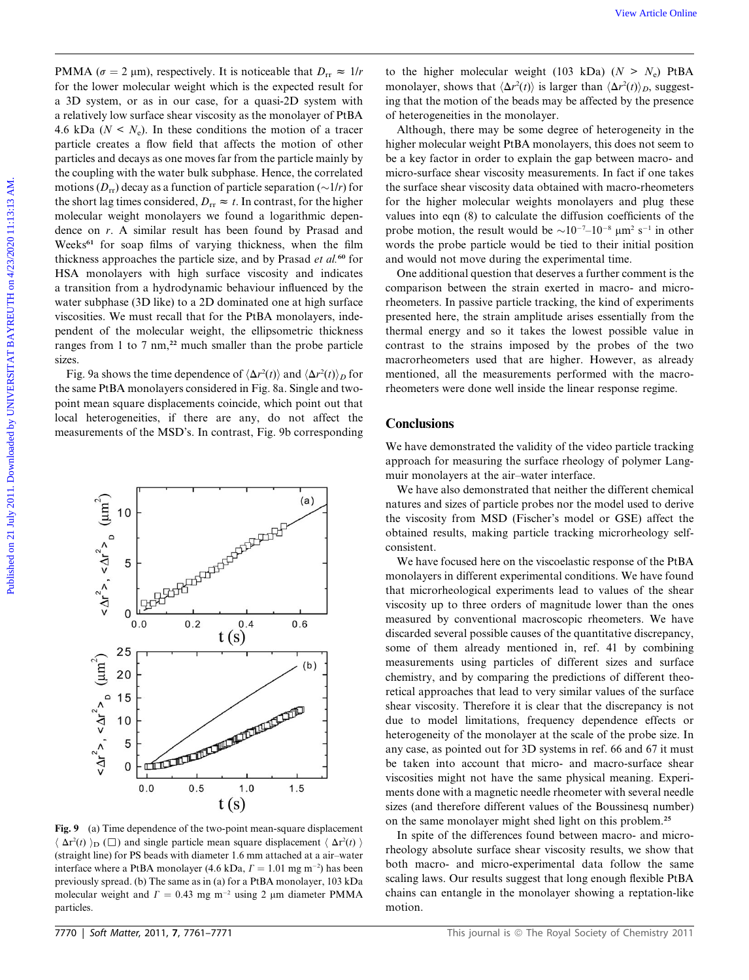PMMA ( $\sigma = 2 \mu m$ ), respectively. It is noticeable that  $D_{rr} \approx 1/r$ for the lower molecular weight which is the expected result for a 3D system, or as in our case, for a quasi-2D system with a relatively low surface shear viscosity as the monolayer of PtBA 4.6 kDa ( $N \leq N_e$ ). In these conditions the motion of a tracer particle creates a flow field that affects the motion of other particles and decays as one moves far from the particle mainly by the coupling with the water bulk subphase. Hence, the correlated motions  $(D_{rr})$  decay as a function of particle separation  $(\sim 1/r)$  for the short lag times considered,  $D_{rr} \approx t$ . In contrast, for the higher molecular weight monolayers we found a logarithmic dependence on r. A similar result has been found by Prasad and Weeks<sup>61</sup> for soap films of varying thickness, when the film thickness approaches the particle size, and by Prasad  $et al.<sup>60</sup>$  for HSA monolayers with high surface viscosity and indicates a transition from a hydrodynamic behaviour influenced by the water subphase (3D like) to a 2D dominated one at high surface viscosities. We must recall that for the PtBA monolayers, independent of the molecular weight, the ellipsometric thickness ranges from 1 to 7 nm,<sup>22</sup> much smaller than the probe particle sizes. PUblished on 21 and happening in the noiseable link  $D_n = 1/r$  to the higher molecular weight (fits klin) ( $y > h$ ) Published on 21 by the control of the beat control of the state of the control of the state of the control of

Fig. 9a shows the time dependence of  $\langle \Delta r^2(t) \rangle$  and  $\langle \Delta r^2(t) \rangle_D$  for the same PtBA monolayers considered in Fig. 8a. Single and twopoint mean square displacements coincide, which point out that local heterogeneities, if there are any, do not affect the measurements of the MSD's. In contrast, Fig. 9b corresponding



Fig. 9 (a) Time dependence of the two-point mean-square displacement  $\langle \Delta r^2(t) \rangle_D (\Box)$  and single particle mean square displacement  $\langle \Delta r^2(t) \rangle$ (straight line) for PS beads with diameter 1.6 mm attached at a air–water interface where a PtBA monolayer  $(4.6 \text{ kDa}, I = 1.01 \text{ mg m}^{-2})$  has been<br>proviously spread (b) The same as in (a) for a PtPA monolayer,  $103 \text{ kDa}$ previously spread. (b) The same as in (a) for a PtBA monolayer, 103 kDa molecular weight and  $\Gamma = 0.43$  mg m<sup>-2</sup> using 2 µm diameter PMMA particles.

to the higher molecular weight (103 kDa)  $(N > N_e)$  PtBA monolayer, shows that  $\langle \Delta r^2(t) \rangle$  is larger than  $\langle \Delta r^2(t) \rangle_D$ , suggesting that the motion of the beads may be affected by the presence of heterogeneities in the monolayer.

Although, there may be some degree of heterogeneity in the higher molecular weight PtBA monolayers, this does not seem to be a key factor in order to explain the gap between macro- and micro-surface shear viscosity measurements. In fact if one takes the surface shear viscosity data obtained with macro-rheometers for the higher molecular weights monolayers and plug these values into eqn (8) to calculate the diffusion coefficients of the probe motion, the result would be  $\sim 10^{-7} - 10^{-8}$   $\mu$ m<sup>2</sup> s<sup>-1</sup> in other words the probe particle would be tied to their initial position and would not move during the experimental time.

One additional question that deserves a further comment is the comparison between the strain exerted in macro- and microrheometers. In passive particle tracking, the kind of experiments presented here, the strain amplitude arises essentially from the thermal energy and so it takes the lowest possible value in contrast to the strains imposed by the probes of the two macrorheometers used that are higher. However, as already mentioned, all the measurements performed with the macrorheometers were done well inside the linear response regime.

#### **Conclusions**

We have demonstrated the validity of the video particle tracking approach for measuring the surface rheology of polymer Langmuir monolayers at the air–water interface.

We have also demonstrated that neither the different chemical natures and sizes of particle probes nor the model used to derive the viscosity from MSD (Fischer's model or GSE) affect the obtained results, making particle tracking microrheology selfconsistent.

We have focused here on the viscoelastic response of the PtBA monolayers in different experimental conditions. We have found that microrheological experiments lead to values of the shear viscosity up to three orders of magnitude lower than the ones measured by conventional macroscopic rheometers. We have discarded several possible causes of the quantitative discrepancy, some of them already mentioned in, ref. 41 by combining measurements using particles of different sizes and surface chemistry, and by comparing the predictions of different theoretical approaches that lead to very similar values of the surface shear viscosity. Therefore it is clear that the discrepancy is not due to model limitations, frequency dependence effects or heterogeneity of the monolayer at the scale of the probe size. In any case, as pointed out for 3D systems in ref. 66 and 67 it must be taken into account that micro- and macro-surface shear viscosities might not have the same physical meaning. Experiments done with a magnetic needle rheometer with several needle sizes (and therefore different values of the Boussinesq number) on the same monolayer might shed light on this problem.<sup>25</sup>

In spite of the differences found between macro- and microrheology absolute surface shear viscosity results, we show that both macro- and micro-experimental data follow the same scaling laws. Our results suggest that long enough flexible PtBA chains can entangle in the monolayer showing a reptation-like motion.